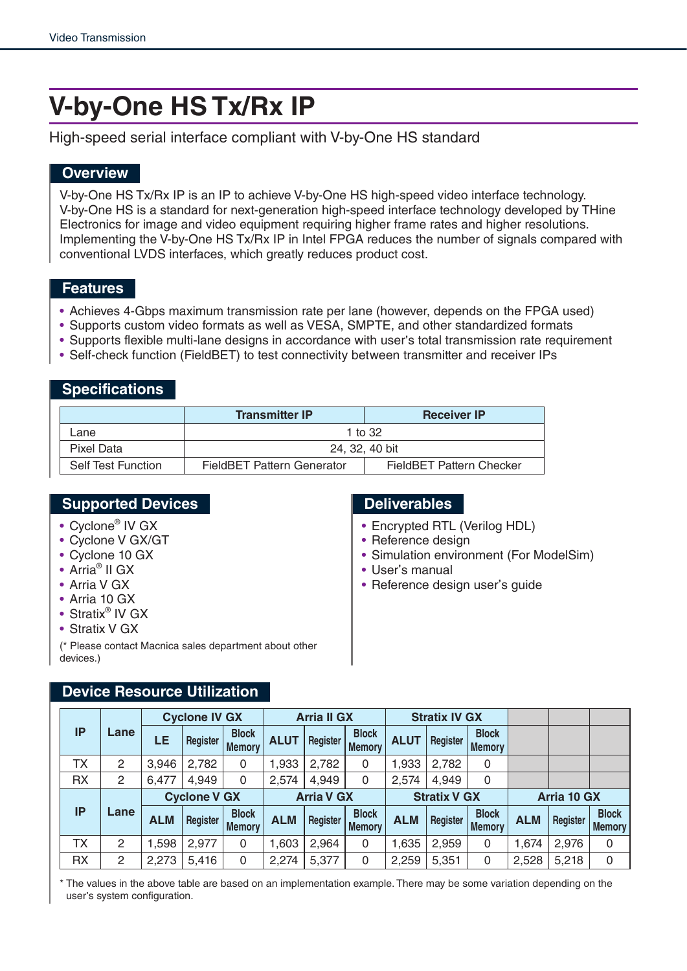# **V-by-One HS Tx/Rx IP**

High-speed serial interface compliant with V-by-One HS standard

### **Overview**

V-by-One HS Tx/Rx IP is an IP to achieve V-by-One HS high-speed video interface technology. V-by-One HS is a standard for next-generation high-speed interface technology developed by THine Electronics for image and video equipment requiring higher frame rates and higher resolutions. Implementing the V-by-One HS Tx/Rx IP in Intel FPGA reduces the number of signals compared with conventional LVDS interfaces, which greatly reduces product cost.

#### **Features**

- Achieves 4-Gbps maximum transmission rate per lane (however, depends on the FPGA used)
- Supports custom video formats as well as VESA, SMPTE, and other standardized formats
- Supports flexible multi-lane designs in accordance with user's total transmission rate requirement
- Self-check function (FieldBET) to test connectivity between transmitter and receiver IPs

#### **Specifications**

|                           | <b>Transmitter IP</b>      | <b>Receiver IP</b>       |  |  |  |
|---------------------------|----------------------------|--------------------------|--|--|--|
| Lane                      |                            | 1 to $32$                |  |  |  |
| Pixel Data                | 24, 32, 40 bit             |                          |  |  |  |
| <b>Self Test Function</b> | FieldBET Pattern Generator | FieldBET Pattern Checker |  |  |  |

#### **Supported Devices Deliverables**

- Cyclone® IV GX
- Cyclone V GX/GT
- Cyclone 10 GX
- Arria® II GX
- Arria V GX
- Arria 10 GX
- Stratix<sup>®</sup> IV GX
- Stratix V GX

(\* Please contact Macnica sales department about other devices.)

- Encrypted RTL (Verilog HDL)
- Reference design
- Simulation environment (For ModelSim)
- User's manual
- Reference design user's guide

## **Device Resource Utilization**

|           |      |                     | <b>Cyclone IV GX</b> |                               | <b>Arria II GX</b> |                     | <b>Stratix IV GX</b>          |             |             |                               |            |          |                               |
|-----------|------|---------------------|----------------------|-------------------------------|--------------------|---------------------|-------------------------------|-------------|-------------|-------------------------------|------------|----------|-------------------------------|
| <b>IP</b> | Lane | LE                  | Register             | <b>Block</b><br><b>Memory</b> | <b>ALUT</b>        | Register            | <b>Block</b><br><b>Memory</b> | <b>ALUT</b> | Register    | <b>Block</b><br><b>Memory</b> |            |          |                               |
| <b>TX</b> | 2    | 3,946               | 2,782                | 0                             | 1,933              | 2,782               | 0                             | 1,933       | 2,782       | 0                             |            |          |                               |
| <b>RX</b> | 2    | 6,477               | 4,949                | 0                             | 2,574              | 4,949               | 0                             | 2,574       | 4,949       | 0                             |            |          |                               |
| <b>IP</b> | Lane | <b>Cyclone V GX</b> |                      | <b>Arria V GX</b>             |                    | <b>Stratix V GX</b> |                               |             | Arria 10 GX |                               |            |          |                               |
|           |      | <b>ALM</b>          | Register             | <b>Block</b><br><b>Memory</b> | <b>ALM</b>         | Register            | <b>Block</b><br><b>Memory</b> | <b>ALM</b>  | Register    | <b>Block</b><br><b>Memory</b> | <b>ALM</b> | Register | <b>Block</b><br><b>Memory</b> |
|           |      |                     |                      |                               |                    |                     |                               |             |             |                               |            |          |                               |
| ТX        | 2    | 1,598               | 2,977                | 0                             | ,603               | 2,964               | 0                             | 1,635       | 2,959       | 0                             | 1,674      | 2,976    | 0                             |

\* The values in the above table are based on an implementation example. There may be some variation depending on the user's system configuration.